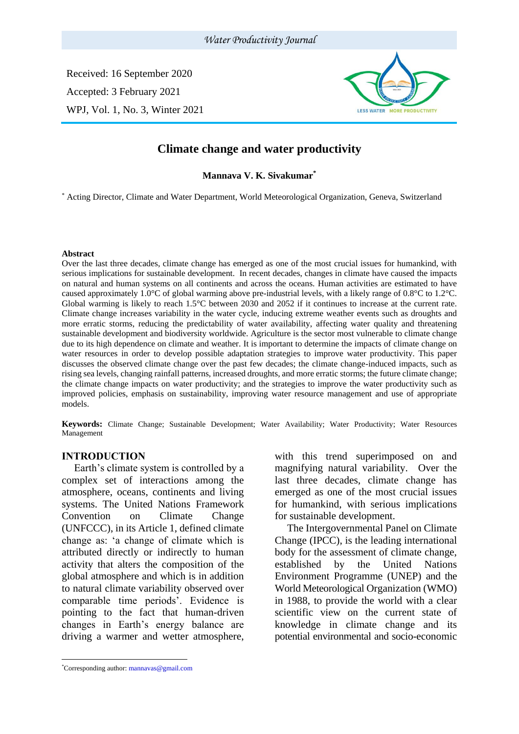Received: 16 September 2020 Accepted: 3 February 2021 WPJ, Vol. 1, No. 3, Winter 2021



# **Climate change and water productivity**

**Mannava V. K. Sivakumar\***

\* Acting Director, Climate and Water Department, World Meteorological Organization, Geneva, Switzerland

#### **Abstract**

Over the last three decades, climate change has emerged as one of the most crucial issues for humankind, with serious implications for sustainable development. In recent decades, changes in climate have caused the impacts on natural and human systems on all continents and across the oceans. Human activities are estimated to have caused approximately 1.0°C of global warming above pre-industrial levels, with a likely range of 0.8°C to 1.2°C. Global warming is likely to reach 1.5°C between 2030 and 2052 if it continues to increase at the current rate. Climate change increases variability in the water cycle, inducing extreme weather events such as droughts and more erratic storms, reducing the predictability of water availability, affecting water quality and threatening sustainable development and biodiversity worldwide. Agriculture is the sector most vulnerable to climate change due to its high dependence on climate and weather. It is important to determine the impacts of climate change on water resources in order to develop possible adaptation strategies to improve water productivity. This paper discusses the observed climate change over the past few decades; the climate change-induced impacts, such as rising sea levels, changing rainfall patterns, increased droughts, and more erratic storms; the future climate change; the climate change impacts on water productivity; and the strategies to improve the water productivity such as improved policies, emphasis on sustainability, improving water resource management and use of appropriate models.

**Keywords:** Climate Change; Sustainable Development; Water Availability; Water Productivity; Water Resources Management

#### **INTRODUCTION<sup>1</sup>**

Earth's climate system is controlled by a complex set of interactions among the atmosphere, oceans, continents and living systems. The United Nations Framework Convention on Climate Change (UNFCCC), in its Article 1, defined climate change as: 'a change of climate which is attributed directly or indirectly to human activity that alters the composition of the global atmosphere and which is in addition to natural climate variability observed over comparable time periods'. Evidence is pointing to the fact that human-driven changes in Earth's energy balance are driving a warmer and wetter atmosphere,

The Intergovernmental Panel on Climate Change (IPCC), is the leading international body for the assessment of climate change, established by the United Nations Environment Programme (UNEP) and the World Meteorological Organization (WMO) in 1988, to provide the world with a clear scientific view on the current state of knowledge in climate change and its potential environmental and socio-economic

1

with this trend superimposed on and magnifying natural variability. Over the last three decades, climate change has emerged as one of the most crucial issues for humankind, with serious implications for sustainable development.

<sup>\*</sup>Corresponding author: mannavas@gmail.com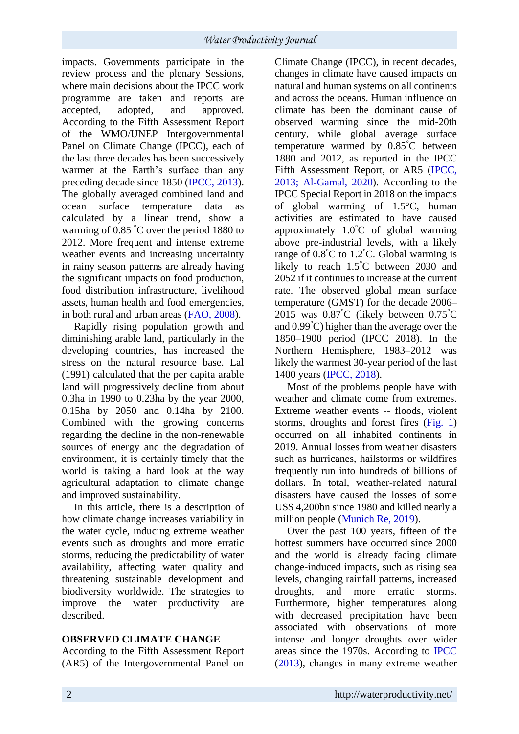impacts. Governments participate in the review process and the plenary Sessions, where main decisions about the IPCC work programme are taken and reports are accepted, adopted, and approved. According to the Fifth Assessment Report of the WMO/UNEP Intergovernmental Panel on Climate Change (IPCC), each of the last three decades has been successively warmer at the Earth's surface than any preceding decade since 1850 (IPCC, 2013). The globally averaged combined land and ocean surface temperature data as calculated by a linear trend, show a warming of 0.85 °C over the period 1880 to 2012. More frequent and intense extreme weather events and increasing uncertainty in rainy season patterns are already having the significant impacts on food production, food distribution infrastructure, livelihood assets, human health and food emergencies, in both rural and urban areas (FAO, 2008).

Rapidly rising population growth and diminishing arable land, particularly in the developing countries, has increased the stress on the natural resource base. Lal (1991) calculated that the per capita arable land will progressively decline from about 0.3ha in 1990 to 0.23ha by the year 2000, 0.15ha by 2050 and 0.14ha by 2100. Combined with the growing concerns regarding the decline in the non-renewable sources of energy and the degradation of environment, it is certainly timely that the world is taking a hard look at the way agricultural adaptation to climate change and improved sustainability.

In this article, there is a description of how climate change increases variability in the water cycle, inducing extreme weather events such as droughts and more erratic storms, reducing the predictability of water availability, affecting water quality and threatening sustainable development and biodiversity worldwide. The strategies to improve the water productivity are described.

## **OBSERVED CLIMATE CHANGE**

According to the Fifth Assessment Report (AR5) of the Intergovernmental Panel on

Climate Change (IPCC), in recent decades, changes in climate have caused impacts on natural and human systems on all continents and across the oceans. Human influence on climate has been the dominant cause of observed warming since the mid-20th century, while global average surface temperature warmed by 0.85°C between 1880 and 2012, as reported in the IPCC Fifth Assessment Report, or AR5 (IPCC, 2013; Al-Gamal, 2020). According to the IPCC Special Report in 2018 on the impacts of global warming of 1.5°C, human activities are estimated to have caused approximately 1.0°C of global warming above pre-industrial levels, with a likely range of 0.8°C to 1.2°C. Global warming is likely to reach 1.5°C between 2030 and 2052 if it continues to increase at the current rate. The observed global mean surface temperature (GMST) for the decade 2006– 2015 was 0.87°C (likely between 0.75°C and 0.99°C) higher than the average over the 1850–1900 period (IPCC 2018). In the Northern Hemisphere, 1983–2012 was likely the warmest 30-year period of the last 1400 years (IPCC, 2018).

Most of the problems people have with weather and climate come from extremes. Extreme weather events -- floods, violent storms, droughts and forest fires (Fig. 1) occurred on all inhabited continents in 2019. Annual losses from weather disasters such as hurricanes, hailstorms or wildfires frequently run into hundreds of billions of dollars. In total, weather-related natural disasters have caused the losses of some US\$ 4,200bn since 1980 and killed nearly a million people (Munich Re, 2019).

Over the past 100 years, fifteen of the hottest summers have occurred since 2000 and the world is already facing climate change-induced impacts, such as rising sea levels, changing rainfall patterns, increased droughts, and more erratic storms. Furthermore, higher temperatures along with decreased precipitation have been associated with observations of more intense and longer droughts over wider areas since the 1970s. According to IPCC (2013), changes in many extreme weather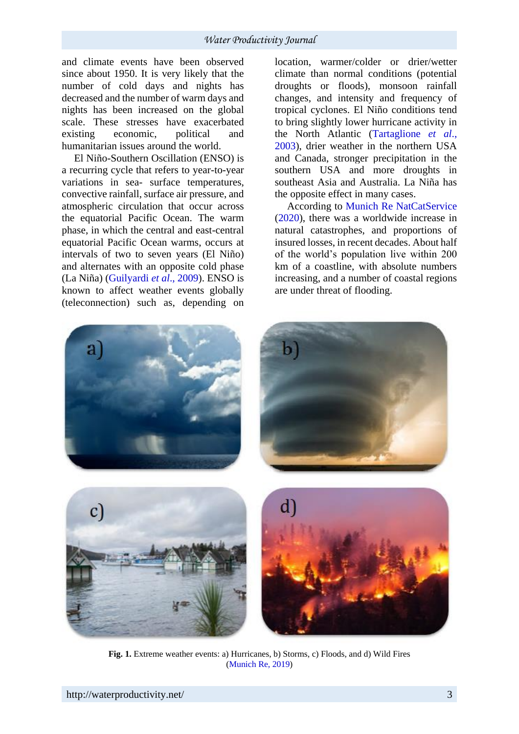and climate events have been observed since about 1950. It is very likely that the number of cold days and nights has decreased and the number of warm days and nights has been increased on the global scale. These stresses have exacerbated existing economic, political and humanitarian issues around the world.

El Niño-Southern Oscillation (ENSO) is a recurring cycle that refers to year-to-year variations in sea- surface temperatures, convective rainfall, surface air pressure, and atmospheric circulation that occur across the equatorial Pacific Ocean. The warm phase, in which the central and east-central equatorial Pacific Ocean warms, occurs at intervals of two to seven years (El Niño) and alternates with an opposite cold phase (La Niña) (Guilyardi *et al*., 2009). ENSO is known to affect weather events globally (teleconnection) such as, depending on

location, warmer/colder or drier/wetter climate than normal conditions (potential droughts or floods), monsoon rainfall changes, and intensity and frequency of tropical cyclones. El Niño conditions tend to bring slightly lower hurricane activity in the North Atlantic (Tartaglione *et al*., 2003), drier weather in the northern USA and Canada, stronger precipitation in the southern USA and more droughts in southeast Asia and Australia. La Niña has the opposite effect in many cases.

According to Munich Re NatCatService (2020), there was a worldwide increase in natural catastrophes, and proportions of insured losses, in recent decades. About half of the world's population live within 200 km of a coastline, with absolute numbers increasing, and a number of coastal regions are under threat of flooding.







**Fig. 1.** Extreme weather events: a) Hurricanes, b) Storms, c) Floods, and d) Wild Fires (Munich Re, 2019)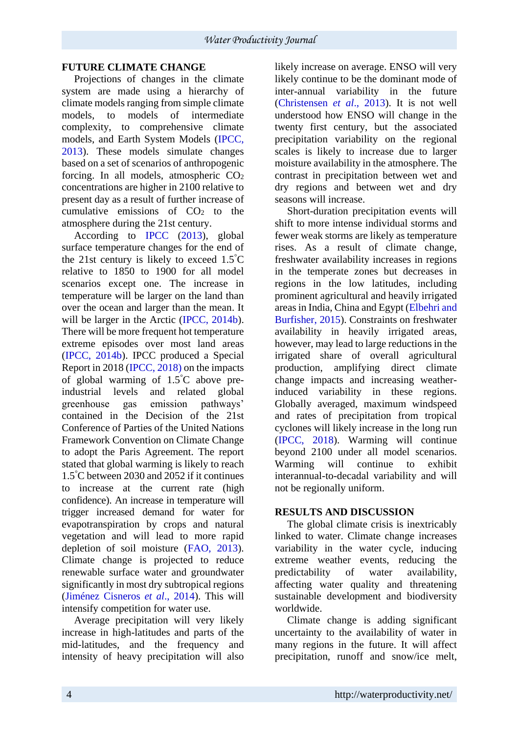## **FUTURE CLIMATE CHANGE**

Projections of changes in the climate system are made using a hierarchy of climate models ranging from simple climate models, to models of intermediate complexity, to comprehensive climate models, and Earth System Models (IPCC, 2013). These models simulate changes based on a set of scenarios of anthropogenic forcing. In all models, atmospheric CO<sup>2</sup> concentrations are higher in 2100 relative to present day as a result of further increase of cumulative emissions of  $CO<sub>2</sub>$  to the atmosphere during the 21st century.

According to IPCC (2013), global surface temperature changes for the end of the 21st century is likely to exceed 1.5°C relative to 1850 to 1900 for all model scenarios except one. The increase in temperature will be larger on the land than over the ocean and larger than the mean. It will be larger in the Arctic (IPCC, 2014b). There will be more frequent hot temperature extreme episodes over most land areas (IPCC, 2014b). IPCC produced a Special Report in 2018 (IPCC, 2018) on the impacts of global warming of 1.5°C above preindustrial levels and related global greenhouse gas emission pathways' contained in the Decision of the 21st Conference of Parties of the United Nations Framework Convention on Climate Change to adopt the Paris Agreement. The report stated that global warming is likely to reach 1.5°C between 2030 and 2052 if it continues to increase at the current rate (high confidence). An increase in temperature will trigger increased demand for water for evapotranspiration by crops and natural vegetation and will lead to more rapid depletion of soil moisture (FAO, 2013). Climate change is projected to reduce renewable surface water and groundwater significantly in most dry subtropical regions (Jiménez Cisneros *et al*., 2014). This will intensify competition for water use.

Average precipitation will very likely increase in high-latitudes and parts of the mid-latitudes, and the frequency and intensity of heavy precipitation will also likely increase on average. ENSO will very likely continue to be the dominant mode of inter-annual variability in the future (Christensen *et al*., 2013). It is not well understood how ENSO will change in the twenty first century, but the associated precipitation variability on the regional scales is likely to increase due to larger moisture availability in the atmosphere. The contrast in precipitation between wet and dry regions and between wet and dry seasons will increase.

Short-duration precipitation events will shift to more intense individual storms and fewer weak storms are likely as temperature rises. As a result of climate change, freshwater availability increases in regions in the temperate zones but decreases in regions in the low latitudes, including prominent agricultural and heavily irrigated areas in India, China and Egypt (Elbehri and Burfisher, 2015). Constraints on freshwater availability in heavily irrigated areas, however, may lead to large reductions in the irrigated share of overall agricultural production, amplifying direct climate change impacts and increasing weatherinduced variability in these regions. Globally averaged, maximum windspeed and rates of precipitation from tropical cyclones will likely increase in the long run (IPCC, 2018). Warming will continue beyond 2100 under all model scenarios. Warming will continue to exhibit interannual-to-decadal variability and will not be regionally uniform.

## **RESULTS AND DISCUSSION**

The global climate crisis is inextricably linked to water. Climate change increases variability in the water cycle, inducing extreme weather events, reducing the predictability of water availability, affecting water quality and threatening sustainable development and biodiversity worldwide.

Climate change is adding significant uncertainty to the availability of water in many regions in the future. It will affect precipitation, runoff and snow/ice melt,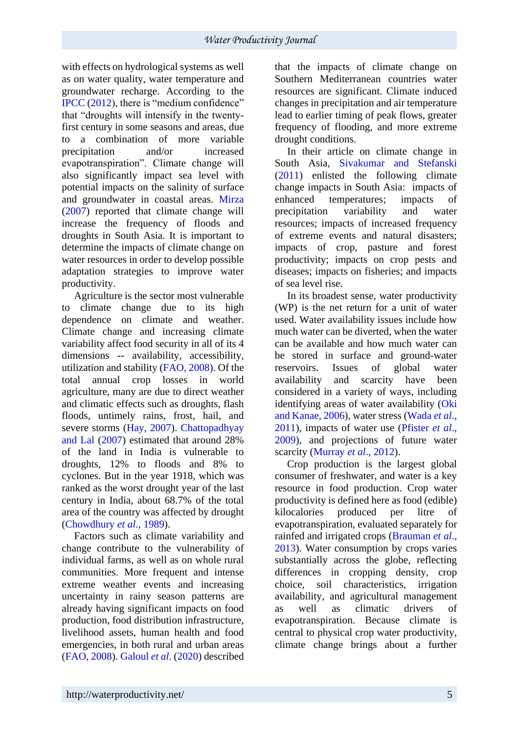with effects on hydrological systems as well as on water quality, water temperature and groundwater recharge. According to the IPCC (2012), there is "medium confidence" that "droughts will intensify in the twentyfirst century in some seasons and areas, due to a combination of more variable precipitation and/or increased evapotranspiration". Climate change will also significantly impact sea level with potential impacts on the salinity of surface and groundwater in coastal areas. Mirza (2007) reported that climate change will increase the frequency of floods and droughts in South Asia. It is important to determine the impacts of climate change on water resources in order to develop possible adaptation strategies to improve water productivity.

Agriculture is the sector most vulnerable to climate change due to its high dependence on climate and weather. Climate change and increasing climate variability affect food security in all of its 4 dimensions -- availability, accessibility, utilization and stability (FAO, 2008). Of the total annual crop losses in world agriculture, many are due to direct weather and climatic effects such as droughts, flash floods, untimely rains, frost, hail, and severe storms (Hay, 2007). Chattopadhyay and Lal (2007) estimated that around 28% of the land in India is vulnerable to droughts, 12% to floods and 8% to cyclones. But in the year 1918, which was ranked as the worst drought year of the last century in India, about 68.7% of the total area of the country was affected by drought (Chowdhury *et al*., 1989).

Factors such as climate variability and change contribute to the vulnerability of individual farms, as well as on whole rural communities. More frequent and intense extreme weather events and increasing uncertainty in rainy season patterns are already having significant impacts on food production, food distribution infrastructure, livelihood assets, human health and food emergencies, in both rural and urban areas (FAO, 2008). Galoul *et al*. (2020) described that the impacts of climate change on Southern Mediterranean countries water resources are significant. Climate induced changes in precipitation and air temperature lead to earlier timing of peak flows, greater frequency of flooding, and more extreme drought conditions.

In their article on climate change in South Asia, Sivakumar and Stefanski (2011) enlisted the following climate change impacts in South Asia: impacts of enhanced temperatures; impacts of precipitation variability and water resources; impacts of increased frequency of extreme events and natural disasters; impacts of crop, pasture and forest productivity; impacts on crop pests and diseases; impacts on fisheries; and impacts of sea level rise.

In its broadest sense, water productivity (WP) is the net return for a unit of water used. Water availability issues include how much water can be diverted, when the water can be available and how much water can be stored in surface and ground-water reservoirs. Issues of global water availability and scarcity have been considered in a variety of ways, including identifying areas of water availability (Oki and Kanae, 2006), water stress (Wada *et al*., 2011), impacts of water use (Pfister *et al*., 2009), and projections of future water scarcity (Murray *et al*., 2012).

Crop production is the largest global consumer of freshwater, and water is a key resource in food production. Crop water productivity is defined here as food (edible) kilocalories produced per litre of evapotranspiration, evaluated separately for rainfed and irrigated crops (Brauman *et al*., 2013). Water consumption by crops varies substantially across the globe, reflecting differences in cropping density, crop choice, soil characteristics, irrigation availability, and agricultural management as well as climatic drivers of evapotranspiration. Because climate is central to physical crop water productivity, climate change brings about a further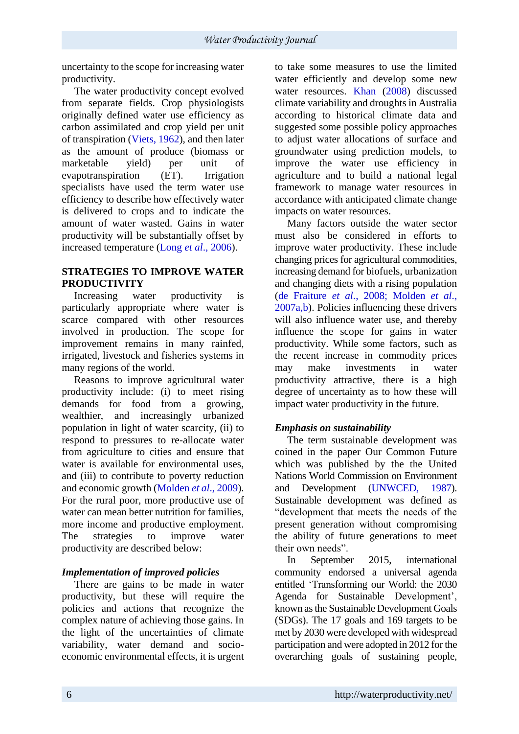uncertainty to the scope for increasing water productivity.

The water productivity concept evolved from separate fields. Crop physiologists originally defined water use efficiency as carbon assimilated and crop yield per unit of transpiration (Viets, 1962), and then later as the amount of produce (biomass or marketable yield) per unit of evapotranspiration (ET). Irrigation specialists have used the term water use efficiency to describe how effectively water is delivered to crops and to indicate the amount of water wasted. Gains in water productivity will be substantially offset by increased temperature (Long *et al*., 2006).

#### **STRATEGIES TO IMPROVE WATER PRODUCTIVITY**

Increasing water productivity is particularly appropriate where water is scarce compared with other resources involved in production. The scope for improvement remains in many rainfed, irrigated, livestock and fisheries systems in many regions of the world.

Reasons to improve agricultural water productivity include: (i) to meet rising demands for food from a growing, wealthier, and increasingly urbanized population in light of water scarcity, (ii) to respond to pressures to re-allocate water from agriculture to cities and ensure that water is available for environmental uses, and (iii) to contribute to poverty reduction and economic growth (Molden *et al*., 2009). For the rural poor, more productive use of water can mean better nutrition for families. more income and productive employment. The strategies to improve water productivity are described below:

## *Implementation of improved policies*

There are gains to be made in water productivity, but these will require the policies and actions that recognize the complex nature of achieving those gains. In the light of the uncertainties of climate variability, water demand and socioeconomic environmental effects, it is urgent to take some measures to use the limited water efficiently and develop some new water resources. Khan (2008) discussed climate variability and droughts in Australia according to historical climate data and suggested some possible policy approaches to adjust water allocations of surface and groundwater using prediction models, to improve the water use efficiency in agriculture and to build a national legal framework to manage water resources in accordance with anticipated climate change impacts on water resources.

Many factors outside the water sector must also be considered in efforts to improve water productivity. These include changing prices for agricultural commodities, increasing demand for biofuels, urbanization and changing diets with a rising population (de Fraiture *et al*., 2008; Molden *et al*., 2007a,b). Policies influencing these drivers will also influence water use, and thereby influence the scope for gains in water productivity. While some factors, such as the recent increase in commodity prices may make investments in water productivity attractive, there is a high degree of uncertainty as to how these will impact water productivity in the future.

## *Emphasis on sustainability*

The term sustainable development was coined in the paper Our Common Future which was published by the the United Nations World Commission on Environment and Development (UNWCED, 1987). Sustainable development was defined as "development that meets the needs of the present generation without compromising the ability of future generations to meet their own needs".

In September 2015, international community endorsed a universal agenda entitled 'Transforming our World: the 2030 Agenda for Sustainable Development', known as the Sustainable Development Goals (SDGs). The 17 goals and 169 targets to be met by 2030 were developed with widespread participation and were adopted in 2012 for the overarching goals of sustaining people,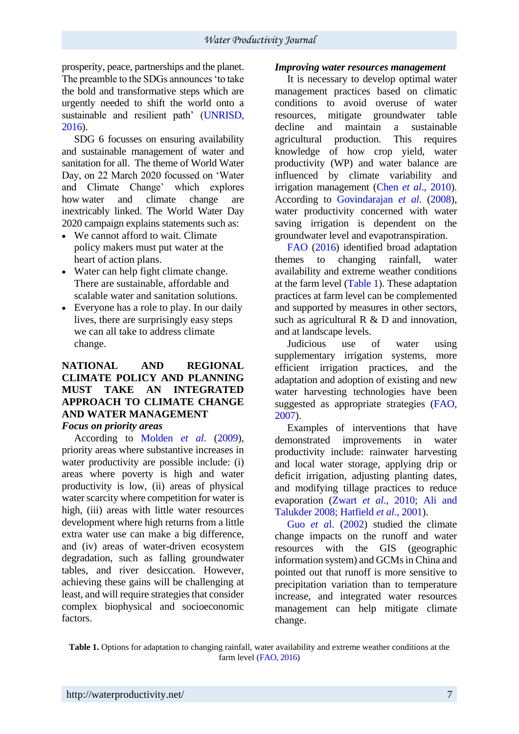prosperity, peace, partnerships and the planet. The preamble to the SDGs announces 'to take the bold and transformative steps which are urgently needed to shift the world onto a sustainable and resilient path' (UNRISD, 2016).

SDG 6 focusses on ensuring availability and sustainable management of water and sanitation for all. The theme of World Water Day, on 22 March 2020 focussed on 'Water and Climate Change' which explores how water and climate change are inextricably linked. The World Water Day 2020 campaign explains statements such as:

- We cannot afford to wait. Climate. policy makers must put water at the heart of action plans.
- Water can help fight climate change. There are sustainable, affordable and scalable water and sanitation solutions.
- Everyone has a role to play. In our daily lives, there are surprisingly easy steps we can all take to address climate change.

#### **NATIONAL AND REGIONAL CLIMATE POLICY AND PLANNING MUST TAKE AN INTEGRATED APPROACH TO CLIMATE CHANGE AND WATER MANAGEMENT** *Focus on priority areas*

According to Molden *et al*. (2009), priority areas where substantive increases in water productivity are possible include: (i) areas where poverty is high and water productivity is low, (ii) areas of physical water scarcity where competition for water is high, (iii) areas with little water resources development where high returns from a little extra water use can make a big difference, and (iv) areas of water-driven ecosystem degradation, such as falling groundwater tables, and river desiccation. However, achieving these gains will be challenging at least, and will require strategies that consider complex biophysical and socioeconomic factors.

#### *Improving water resources management*

It is necessary to develop optimal water management practices based on climatic conditions to avoid overuse of water resources, mitigate groundwater table decline and maintain a sustainable agricultural production. This requires knowledge of how crop yield, water productivity (WP) and water balance are influenced by climate variability and irrigation management (Chen *et al*., 2010). According to Govindarajan *et al*. (2008), water productivity concerned with water saving irrigation is dependent on the groundwater level and evapotranspiration.

FAO (2016) identified broad adaptation themes to changing rainfall, water availability and extreme weather conditions at the farm level (Table 1). These adaptation practices at farm level can be complemented and supported by measures in other sectors, such as agricultural  $R \& D$  and innovation. and at landscape levels.

Judicious use of water using supplementary irrigation systems, more efficient irrigation practices, and the adaptation and adoption of existing and new water harvesting technologies have been suggested as appropriate strategies (FAO, 2007).

Examples of interventions that have demonstrated improvements in water productivity include: rainwater harvesting and local water storage, applying drip or deficit irrigation, adjusting planting dates, and modifying tillage practices to reduce evaporation (Zwart *et al*., 2010; Ali and Talukder 2008; Hatfield *et al*., 2001).

Guo *et a*l. (2002) studied the climate change impacts on the runoff and water resources with the GIS (geographic information system) and GCMs in China and pointed out that runoff is more sensitive to precipitation variation than to temperature increase, and integrated water resources management can help mitigate climate change.

**Table 1.** Options for adaptation to changing rainfall, water availability and extreme weather conditions at the farm level (FAO, 2016)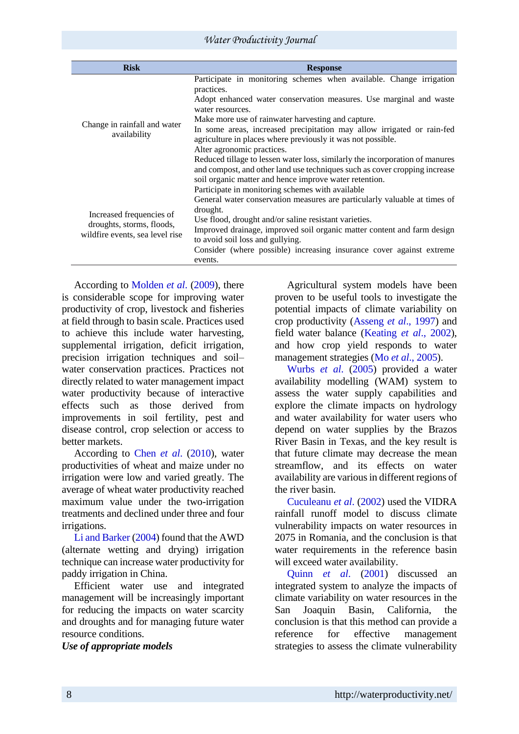| <b>Risk</b>                                                                              | <b>Response</b>                                                                                                                                            |
|------------------------------------------------------------------------------------------|------------------------------------------------------------------------------------------------------------------------------------------------------------|
| Change in rainfall and water<br>availability                                             | Participate in monitoring schemes when available. Change irrigation<br>practices.                                                                          |
|                                                                                          | Adopt enhanced water conservation measures. Use marginal and waste<br>water resources.                                                                     |
|                                                                                          | Make more use of rainwater harvesting and capture.                                                                                                         |
|                                                                                          | In some areas, increased precipitation may allow irrigated or rain-fed<br>agriculture in places where previously it was not possible.                      |
|                                                                                          | Alter agronomic practices.                                                                                                                                 |
|                                                                                          | Reduced tillage to lessen water loss, similarly the incorporation of manures<br>and compost, and other land use techniques such as cover cropping increase |
|                                                                                          | soil organic matter and hence improve water retention.                                                                                                     |
| Increased frequencies of<br>droughts, storms, floods,<br>wildfire events, sea level rise | Participate in monitoring schemes with available                                                                                                           |
|                                                                                          | General water conservation measures are particularly valuable at times of<br>drought.                                                                      |
|                                                                                          | Use flood, drought and/or saline resistant varieties.                                                                                                      |
|                                                                                          | Improved drainage, improved soil organic matter content and farm design                                                                                    |
|                                                                                          | to avoid soil loss and gullying.                                                                                                                           |
|                                                                                          | Consider (where possible) increasing insurance cover against extreme<br>events.                                                                            |
|                                                                                          |                                                                                                                                                            |

According to Molden *et al*. (2009), there is considerable scope for improving water productivity of crop, livestock and fisheries at field through to basin scale. Practices used to achieve this include water harvesting, supplemental irrigation, deficit irrigation, precision irrigation techniques and soil– water conservation practices. Practices not directly related to water management impact water productivity because of interactive effects such as those derived from improvements in soil fertility, pest and disease control, crop selection or access to better markets.

According to Chen *et al*. (2010), water productivities of wheat and maize under no irrigation were low and varied greatly. The average of wheat water productivity reached maximum value under the two-irrigation treatments and declined under three and four irrigations.

Li and Barker (2004) found that the AWD (alternate wetting and drying) irrigation technique can increase water productivity for paddy irrigation in China.

Efficient water use and integrated management will be increasingly important for reducing the impacts on water scarcity and droughts and for managing future water resource conditions.

*Use of appropriate models* 

Agricultural system models have been proven to be useful tools to investigate the potential impacts of climate variability on crop productivity (Asseng *et al*., 1997) and field water balance (Keating *et al*., 2002), and how crop yield responds to water management strategies (Mo *et al*., 2005).

Wurbs *et al*. (2005) provided a water availability modelling (WAM) system to assess the water supply capabilities and explore the climate impacts on hydrology and water availability for water users who depend on water supplies by the Brazos River Basin in Texas, and the key result is that future climate may decrease the mean streamflow, and its effects on water availability are various in different regions of the river basin.

Cuculeanu *et al*. (2002) used the VIDRA rainfall runoff model to discuss climate vulnerability impacts on water resources in 2075 in Romania, and the conclusion is that water requirements in the reference basin will exceed water availability.

Quinn *et al*. (2001) discussed an integrated system to analyze the impacts of climate variability on water resources in the San Joaquin Basin, California, the conclusion is that this method can provide a reference for effective management strategies to assess the climate vulnerability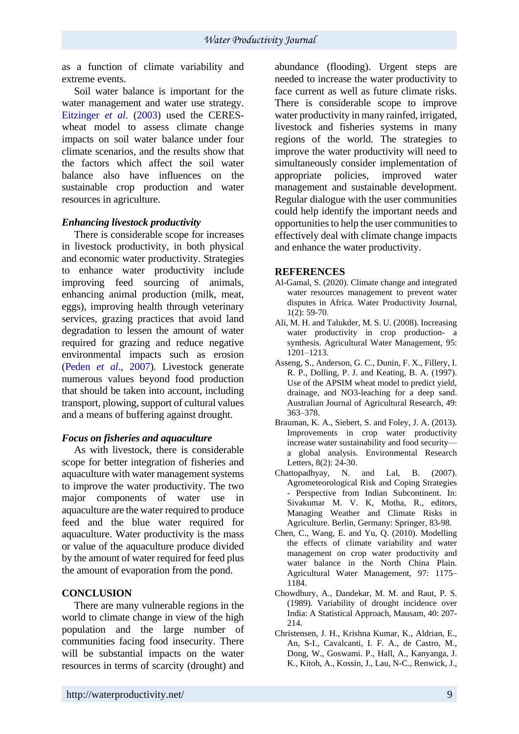as a function of climate variability and extreme events.

Soil water balance is important for the water management and water use strategy. Eitzinger *et al*. (2003) used the CERESwheat model to assess climate change impacts on soil water balance under four climate scenarios, and the results show that the factors which affect the soil water balance also have influences on the sustainable crop production and water resources in agriculture.

## *Enhancing livestock productivity*

There is considerable scope for increases in livestock productivity, in both physical and economic water productivity. Strategies to enhance water productivity include improving feed sourcing of animals, enhancing animal production (milk, meat, eggs), improving health through veterinary services, grazing practices that avoid land degradation to lessen the amount of water required for grazing and reduce negative environmental impacts such as erosion (Peden *et al*., 2007). Livestock generate numerous values beyond food production that should be taken into account, including transport, plowing, support of cultural values and a means of buffering against drought.

## *Focus on fisheries and aquaculture*

As with livestock, there is considerable scope for better integration of fisheries and aquaculture with water management systems to improve the water productivity. The two major components of water use in aquaculture are the water required to produce feed and the blue water required for aquaculture. Water productivity is the mass or value of the aquaculture produce divided by the amount of water required for feed plus the amount of evaporation from the pond.

## **CONCLUSION**

There are many vulnerable regions in the world to climate change in view of the high population and the large number of communities facing food insecurity. There will be substantial impacts on the water resources in terms of scarcity (drought) and abundance (flooding). Urgent steps are needed to increase the water productivity to face current as well as future climate risks. There is considerable scope to improve water productivity in many rainfed, irrigated, livestock and fisheries systems in many regions of the world. The strategies to improve the water productivity will need to simultaneously consider implementation of appropriate policies, improved water management and sustainable development. Regular dialogue with the user communities could help identify the important needs and opportunities to help the user communities to effectively deal with climate change impacts and enhance the water productivity.

## **REFERENCES**

- Al-Gamal, S. (2020). Climate change and integrated water resources management to prevent water disputes in Africa. Water Productivity Journal, 1(2): 59-70.
- Ali, M. H. and Talukder, M. S. U. (2008). Increasing water productivity in crop production- a synthesis. Agricultural Water Management, 95: 1201–1213.
- Asseng, S., Anderson, G. C., Dunin, F. X., Fillery, I. R. P., Dolling, P. J. and Keating, B. A. (1997). Use of the APSIM wheat model to predict yield, drainage, and NO3-leaching for a deep sand. Australian Journal of Agricultural Research, 49: 363–378.
- Brauman, K. A., Siebert, S. and Foley, J. A. (2013). Improvements in crop water productivity increase water sustainability and food security a global analysis. Environmental Research Letters, 8(2): 24-30.
- Chattopadhyay, N. and Lal, B. (2007). Agrometeorological Risk and Coping Strategies - Perspective from Indian Subcontinent. In: Sivakumar M. V. K, Motha, R., editors, Managing Weather and Climate Risks in Agriculture. Berlin, Germany: Springer, 83-98.
- Chen, C., Wang, E. and Yu, Q. (2010). Modelling the effects of climate variability and water management on crop water productivity and water balance in the North China Plain. Agricultural Water Management, 97: 1175– 1184.
- Chowdhury, A., Dandekar, M. M. and Raut, P. S. (1989). Variability of drought incidence over India: A Statistical Approach, Mausam, 40: 207- 214.
- Christensen, J. H., Krishna Kumar, K., Aldrian, E., An, S-I., Cavalcanti, I. F. A., de Castro, M., Dong, W., Goswami. P., Hall, A., Kanyanga, J. K., Kitoh, A., Kossin, J., Lau, N-C., Renwick, J.,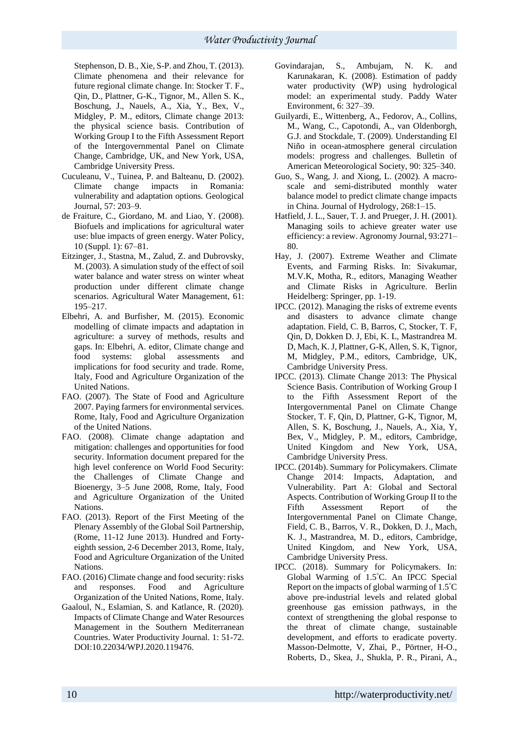Stephenson, D. B., Xie, S-P. and Zhou, T. (2013). Climate phenomena and their relevance for future regional climate change. In: Stocker T. F., Qin, D., Plattner, G-K., Tignor, M., Allen S. K., Boschung, J., Nauels, A., Xia, Y., Bex, V., Midgley, P. M., editors, Climate change 2013: the physical science basis. Contribution of Working Group I to the Fifth Assessment Report of the Intergovernmental Panel on Climate Change, Cambridge, UK, and New York, USA, Cambridge University Press.

- Cuculeanu, V., Tuinea, P. and Balteanu, D. (2002). Climate change impacts in Romania: vulnerability and adaptation options. Geological Journal, 57: 203–9.
- de Fraiture, C., Giordano, M. and Liao, Y. (2008). Biofuels and implications for agricultural water use: blue impacts of green energy. Water Policy, 10 (Suppl. 1): 67–81.
- Eitzinger, J., Stastna, M., Zalud, Z. and Dubrovsky, M. (2003). A simulation study of the effect of soil water balance and water stress on winter wheat production under different climate change scenarios. Agricultural Water Management, 61: 195–217.
- Elbehri, A. and Burfisher, M. (2015). Economic modelling of climate impacts and adaptation in agriculture: a survey of methods, results and gaps. In: Elbehri, A. editor, Climate change and food systems: global assessments and implications for food security and trade. Rome, Italy, Food and Agriculture Organization of the United Nations.
- FAO. (2007). The State of Food and Agriculture 2007. Paying farmers for environmental services. Rome, Italy, Food and Agriculture Organization of the United Nations.
- FAO. (2008). Climate change adaptation and mitigation: challenges and opportunities for food security. Information document prepared for the high level conference on World Food Security: the Challenges of Climate Change and Bioenergy, 3–5 June 2008, Rome, Italy, Food and Agriculture Organization of the United Nations.
- FAO. (2013). Report of the First Meeting of the Plenary Assembly of the Global Soil Partnership, (Rome, 11-12 June 2013). Hundred and Fortyeighth session, 2-6 December 2013, Rome, Italy, Food and Agriculture Organization of the United Nations.
- FAO. (2016) Climate change and food security: risks and responses. Food and Agriculture Organization of the United Nations, Rome, Italy.
- Gaaloul, N., Eslamian, S. and Katlance, R. (2020). Impacts of Climate Change and Water Resources Management in the Southern Mediterranean Countries. Water Productivity Journal. 1: 51-72. DOI:10.22034/WPJ.2020.119476.
- Govindarajan, S., Ambujam, N. K. and Karunakaran, K. (2008). Estimation of paddy water productivity (WP) using hydrological model: an experimental study. Paddy Water Environment, 6: 327–39.
- Guilyardi, E., Wittenberg, A., Fedorov, A., Collins, M., Wang, C., Capotondi, A., van Oldenborgh, G.J. and Stockdale, T. (2009). Understanding El Niño in ocean-atmosphere general circulation models: progress and challenges. Bulletin of American Meteorological Society, 90: 325–340.
- Guo, S., Wang, J. and Xiong, L. (2002). A macroscale and semi-distributed monthly water balance model to predict climate change impacts in China. Journal of Hydrology, 268:1–15.
- Hatfield, J. L., Sauer, T. J. and Prueger, J. H. (2001). Managing soils to achieve greater water use efficiency: a review. Agronomy Journal, 93:271– 80.
- Hay, J. (2007). Extreme Weather and Climate Events, and Farming Risks. In: Sivakumar, M.V.K, Motha, R., editors, Managing Weather and Climate Risks in Agriculture. Berlin Heidelberg: Springer, pp. 1-19.
- IPCC. (2012). Managing the risks of extreme events and disasters to advance climate change adaptation. Field, C. B, Barros, C, Stocker, T. F, Qin, D, Dokken D. J, Ebi, K. L, Mastrandrea M. D, Mach, K. J, Plattner, G-K, Allen, S. K, Tignor, M, Midgley, P.M., editors, Cambridge, UK, Cambridge University Press.
- IPCC. (2013). Climate Change 2013: The Physical Science Basis. Contribution of Working Group I to the Fifth Assessment Report of the Intergovernmental Panel on Climate Change Stocker, T. F, Qin, D, Plattner, G-K, Tignor, M, Allen, S. K, Boschung, J., Nauels, A., Xia, Y, Bex, V., Midgley, P. M., editors, Cambridge, United Kingdom and New York, USA, Cambridge University Press.
- IPCC. (2014b). Summary for Policymakers. Climate Change 2014: Impacts, Adaptation, and Vulnerability. Part A: Global and Sectoral Aspects. Contribution of Working Group II to the Fifth Assessment Report of the Intergovernmental Panel on Climate Change, Field, C. B., Barros, V. R., Dokken, D. J., Mach, K. J., Mastrandrea, M. D., editors, Cambridge, United Kingdom, and New York, USA, Cambridge University Press.
- IPCC. (2018). Summary for Policymakers. In: Global Warming of 1.5°C. An IPCC Special Report on the impacts of global warming of 1.5°C above pre-industrial levels and related global greenhouse gas emission pathways, in the context of strengthening the global response to the threat of climate change, sustainable development, and efforts to eradicate poverty. Masson-Delmotte, V, Zhai, P., Pörtner, H-O., Roberts, D., Skea, J., Shukla, P. R., Pirani, A.,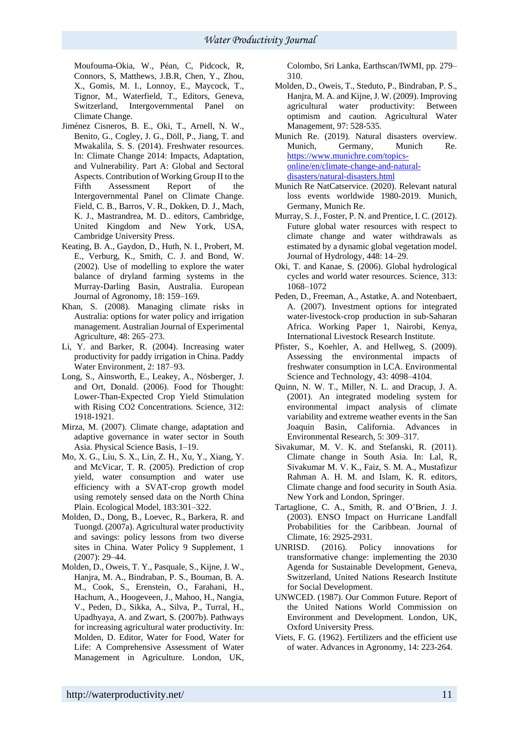Moufouma-Okia, W., Péan, C, Pidcock, R, Connors, S, Matthews, J.B.R, Chen, Y., Zhou, X., Gomis, M. I., Lonnoy, E., Maycock, T., Tignor, M., Waterfield, T., Editors, Geneva, Switzerland, Intergovernmental Panel on Climate Change.

- Jiménez Cisneros, B. E., Oki, T., Arnell, N. W., Benito, G., Cogley, J. G., Döll, P., Jiang, T. and Mwakalila, S. S. (2014). Freshwater resources. In: Climate Change 2014: Impacts, Adaptation, and Vulnerability. Part A: Global and Sectoral Aspects. Contribution of Working Group II to the Fifth Assessment Report of the Intergovernmental Panel on Climate Change. Field, C. B., Barros, V. R., Dokken, D. J., Mach, K. J., Mastrandrea, M. D.. editors, Cambridge, United Kingdom and New York, USA, Cambridge University Press.
- Keating, B. A., Gaydon, D., Huth, N. I., Probert, M. E., Verburg, K., Smith, C. J. and Bond, W. (2002). Use of modelling to explore the water balance of dryland farming systems in the Murray-Darling Basin, Australia. European Journal of Agronomy, 18: 159–169.
- Khan, S. (2008). Managing climate risks in Australia: options for water policy and irrigation management. Australian Journal of Experimental Agriculture, 48: 265–273.
- Li, Y. and Barker, R. (2004). Increasing water productivity for paddy irrigation in China. Paddy Water Environment, 2: 187–93.
- Long, S., Ainsworth, E., Leakey, A., Nösberger, J. and Ort, Donald. (2006). Food for Thought: Lower-Than-Expected Crop Yield Stimulation with Rising CO2 Concentrations. Science, 312: 1918-1921.
- Mirza, M. (2007). Climate change, adaptation and adaptive governance in water sector in South Asia. Physical Science Basis, 1–19.
- Mo, X. G., Liu, S. X., Lin, Z. H., Xu, Y., Xiang, Y. and McVicar, T. R. (2005). Prediction of crop yield, water consumption and water use efficiency with a SVAT-crop growth model using remotely sensed data on the North China Plain. Ecological Model, 183:301–322.
- Molden, D., Dong, B., Loevec, R., Barkera, R. and Tuongd. (2007a). Agricultural water productivity and savings: policy lessons from two diverse sites in China. Water Policy 9 Supplement, 1 (2007): 29–44.
- Molden, D., Oweis, T. Y., Pasquale, S., Kijne, J. W., Hanjra, M. A., Bindraban, P. S., Bouman, B. A. M., Cook, S., Erenstein, O., Farahani, H., Hachum, A., Hoogeveen, J., Mahoo, H., Nangia, V., Peden, D., Sikka, A., Silva, P., Turral, H., Upadhyaya, A. and Zwart, S. (2007b). Pathways for increasing agricultural water productivity. In: Molden, D. Editor, Water for Food, Water for Life: A Comprehensive Assessment of Water Management in Agriculture. London, UK,

Colombo, Sri Lanka, Earthscan/IWMI, pp. 279– 310.

- Molden, [D., Oweis, T., Steduto, P., Bindraban, P.](https://www.sciencedirect.com/science/article/abs/pii/S0378377409000912#!) S., [Hanjra,](https://www.sciencedirect.com/science/article/abs/pii/S0378377409000912#!) M. A. and Kijne, J. [W. \(2009\). Improving](https://www.sciencedirect.com/science/article/abs/pii/S0378377409000912#!)  [agricultural water productivity: Between](https://www.sciencedirect.com/science/article/abs/pii/S0378377409000912#!)  [optimism and caution. Agricultural Water](https://www.sciencedirect.com/science/article/abs/pii/S0378377409000912#!)  [Management,](https://www.sciencedirect.com/science/article/abs/pii/S0378377409000912#!) 97: 528-535.
- Munich Re. (2019). Natural disasters overview. Munich, Germany, Munich Re. [https://www.munichre.com/topics](https://www.munichre.com/topics-online/en/climate-change-and-natural-disasters/natural-disasters.html)[online/en/climate-change-and-natural](https://www.munichre.com/topics-online/en/climate-change-and-natural-disasters/natural-disasters.html)[disasters/natural-disasters.html](https://www.munichre.com/topics-online/en/climate-change-and-natural-disasters/natural-disasters.html)
- Munich Re NatCatservice. (2020). Relevant natural loss events worldwide 1980-2019. Munich, Germany, Munich Re.
- Murray, S. J., Foster, P. N. and Prentice, I. C. (2012). Future global water resources with respect to climate change and water withdrawals as estimated by a dynamic global vegetation model. Journal of Hydrology, 448: 14–29.
- Oki, T. and Kanae, S. (2006). Global hydrological cycles and world water resources. Science, 313: 1068–1072
- Peden, D., Freeman, A., Astatke, A. and Notenbaert, A. (2007). Investment options for integrated water-livestock-crop production in sub-Saharan Africa. Working Paper 1, Nairobi, Kenya, International Livestock Research Institute.
- Pfister, S., Koehler, A. and Hellweg, S. (2009). Assessing the environmental impacts of freshwater consumption in LCA. Environmental Science and Technology, 43: 4098–4104.
- Quinn, N. W. T., Miller, N. L. and Dracup, J. A. (2001). An integrated modeling system for environmental impact analysis of climate variability and extreme weather events in the San Joaquin Basin, California. Advances in Environmental Research, 5: 309–317.
- Sivakumar, M. V. K. and Stefanski, R. (2011). Climate change in South Asia. In: Lal, R, Sivakumar M. V. K., Faiz, S. M. A., Mustafizur Rahman A. H. M. and Islam, K. R. editors, Climate change and food security in South Asia. New York and London, Springer.
- Tartaglione, C. A., Smith, R. and O'Brien, J. J. (2003). ENSO Impact on Hurricane Landfall Probabilities for the Caribbean. Journal of Climate, 16: 2925-2931.
- UNRISD. (2016). Policy innovations for transformative change: implementing the 2030 Agenda for Sustainable Development, Geneva, Switzerland, United Nations Research Institute for Social Development.
- UNWCED. (1987). Our Common Future. Report of the United Nations World Commission on Environment and Development*.* London, UK, Oxford University Press*.*
- Viets, F. G. (1962). Fertilizers and the efficient use of water. Advances in Agronomy, 14: 223-264.